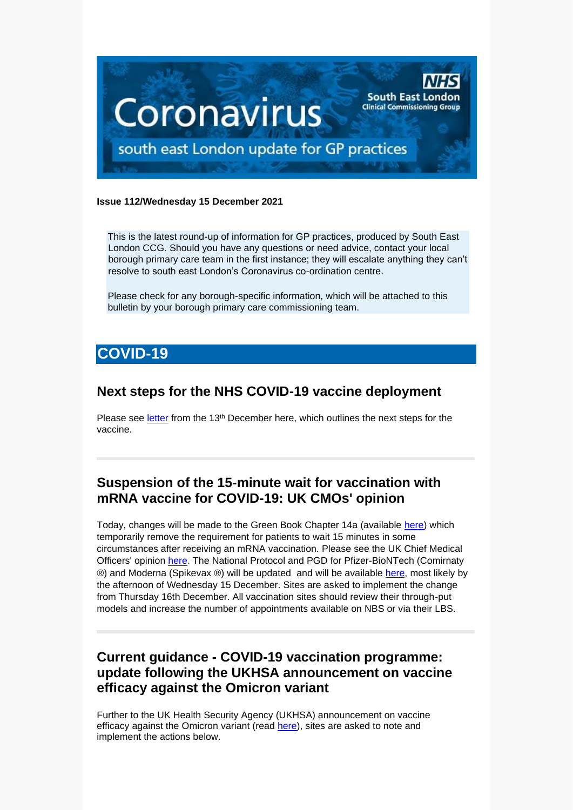

#### **Issue 112/Wednesday 15 December 2021**

This is the latest round-up of information for GP practices, produced by South East London CCG. Should you have any questions or need advice, contact your local borough primary care team in the first instance; they will escalate anything they can't resolve to south east London's Coronavirus co-ordination centre.

Please check for any borough-specific information, which will be attached to this bulletin by your borough primary care commissioning team.

# **COVID-19**

## **Next steps for the NHS COVID-19 vaccine deployment**

Please see [letter](https://selondonccg.nhs.uk/wp-content/uploads/2021/12/C1488_Letter-re-Next-steps-for-the-NHS-COVID-19-vaccine-deployment_131221-2.pdf) from the 13<sup>th</sup> December here, which outlines the next steps for the vaccine.

## **Suspension of the 15-minute wait for vaccination with mRNA vaccine for COVID-19: UK CMOs' opinion**

Today, changes will be made to the Green Book Chapter 14a (available [here\)](https://assets.publishing.service.gov.uk/government/uploads/system/uploads/attachment_data/file/1040677/Greenbook-chapter-14a-14Dec21.pdf) which temporarily remove the requirement for patients to wait 15 minutes in some circumstances after receiving an mRNA vaccination. Please see the UK Chief Medical Officers' opinion [here.](https://www.gov.uk/government/publications/suspension-of-the-15-minute-wait-for-vaccination-with-mrna-vaccine-for-covid-19-uk-cmos-opinion) The National Protocol and PGD for Pfizer-BioNTech (Comirnaty ®) and Moderna (Spikevax ®) will be updated and will be available [here,](https://www.england.nhs.uk/coronavirus/covid-19-vaccination-programme/legal-mechanisms/patient-group-directions-pgds-for-covid-19-vaccines/) most likely by the afternoon of Wednesday 15 December. Sites are asked to implement the change from Thursday 16th December. All vaccination sites should review their through-put models and increase the number of appointments available on NBS or via their LBS.

## **Current guidance - COVID-19 vaccination programme: update following the UKHSA announcement on vaccine efficacy against the Omicron variant**

Further to the UK Health Security Agency (UKHSA) announcement on vaccine efficacy against the Omicron variant (read [here\)](https://www.gov.uk/guidance/monitoring-reports-of-the-effectiveness-of-covid-19-vaccination), sites are asked to note and implement the actions below.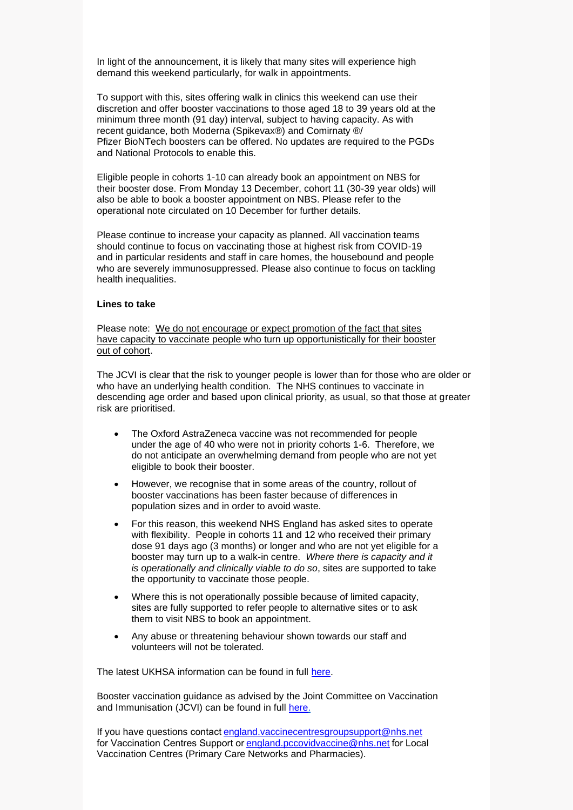In light of the announcement, it is likely that many sites will experience high demand this weekend particularly, for walk in appointments.

To support with this, sites offering walk in clinics this weekend can use their discretion and offer booster vaccinations to those aged 18 to 39 years old at the minimum three month (91 day) interval, subject to having capacity. As with recent guidance, both Moderna (Spikevax®) and Comirnaty ®/ Pfizer BioNTech boosters can be offered. No updates are required to the PGDs and National Protocols to enable this.

Eligible people in cohorts 1-10 can already book an appointment on NBS for their booster dose. From Monday 13 December, cohort 11 (30-39 year olds) will also be able to book a booster appointment on NBS. Please refer to the operational note circulated on 10 December for further details.

Please continue to increase your capacity as planned. All vaccination teams should continue to focus on vaccinating those at highest risk from COVID-19 and in particular residents and staff in care homes, the housebound and people who are severely immunosuppressed. Please also continue to focus on tackling health inequalities.

#### **Lines to take**

Please note: We do not encourage or expect promotion of the fact that sites have capacity to vaccinate people who turn up opportunistically for their booster out of cohort.

The JCVI is clear that the risk to younger people is lower than for those who are older or who have an underlying health condition. The NHS continues to vaccinate in descending age order and based upon clinical priority, as usual, so that those at greater risk are prioritised.

- The Oxford AstraZeneca vaccine was not recommended for people under the age of 40 who were not in priority cohorts 1-6. Therefore, we do not anticipate an overwhelming demand from people who are not yet eligible to book their booster.
- However, we recognise that in some areas of the country, rollout of booster vaccinations has been faster because of differences in population sizes and in order to avoid waste.
- For this reason, this weekend NHS England has asked sites to operate with flexibility. People in cohorts 11 and 12 who received their primary dose 91 days ago (3 months) or longer and who are not yet eligible for a booster may turn up to a walk-in centre. *Where there is capacity and it is operationally and clinically viable to do so*, sites are supported to take the opportunity to vaccinate those people.
- Where this is not operationally possible because of limited capacity, sites are fully supported to refer people to alternative sites or to ask them to visit NBS to book an appointment.
- Any abuse or threatening behaviour shown towards our staff and volunteers will not be tolerated.

The latest UKHSA information can be found in full [here.](https://www.gov.uk/guidance/monitoring-reports-of-the-effectiveness-of-covid-19-vaccination)

Booster vaccination guidance as advised by the Joint Committee on Vaccination and Immunisation (JCVI) can be found in full [here.](https://www.gov.uk/government/publications/uk-vaccine-response-to-the-omicron-variant-jcvi-advice/jcvi-advice-on-the-uk-vaccine-response-to-the-omicron-variant)

If you have questions contact england.vaccinecentresgroupsupport@nhs.net for Vaccination Centres Support or england.pccovidvaccine@nhs.net for Local Vaccination Centres (Primary Care Networks and Pharmacies).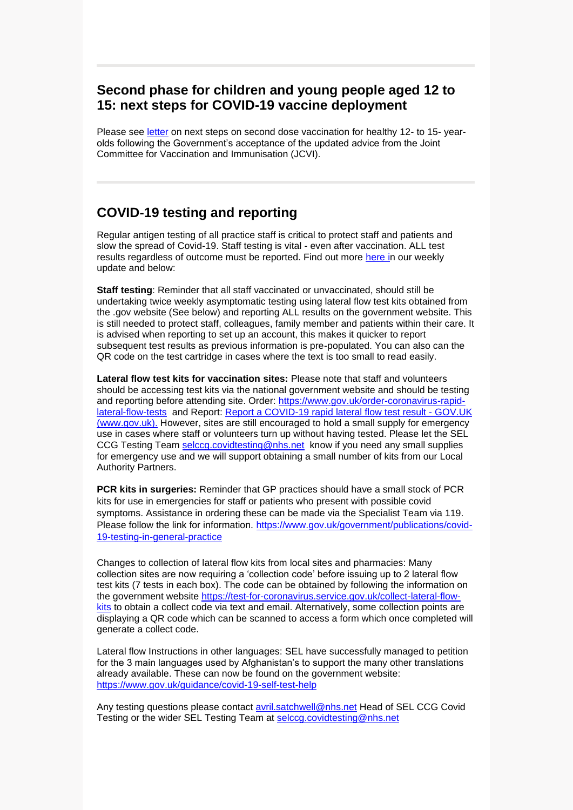### **Second phase for children and young people aged 12 to 15: next steps for COVID-19 vaccine deployment**

Please see [letter](https://selondonccg.nhs.uk/wp-content/uploads/2021/12/C1485-letter-cyp-aged-12-15-second-dose-deployment.pdf) on next steps on second dose vaccination for healthy 12- to 15- yearolds following the Government's acceptance of the updated advice from the Joint Committee for Vaccination and Immunisation (JCVI).

## **COVID-19 testing and reporting**

Regular antigen testing of all practice staff is critical to protect staff and patients and slow the spread of Covid-19. Staff testing is vital - even after vaccination. ALL test results regardless of outcome must be reported. Find out more [here](https://selondonccg.nhs.uk/wp-content/uploads/2021/12/Key-messages-for-GP-weekly-bulletin-10-December-2021.pdf) in our weekly update and below:

**Staff testing**: Reminder that all staff vaccinated or unvaccinated, should still be undertaking twice weekly asymptomatic testing using lateral flow test kits obtained from the .gov website (See below) and reporting ALL results on the government website. This is still needed to protect staff, colleagues, family member and patients within their care. It is advised when reporting to set up an account, this makes it quicker to report subsequent test results as previous information is pre-populated. You can also can the QR code on the test cartridge in cases where the text is too small to read easily.

**Lateral flow test kits for vaccination sites:** Please note that staff and volunteers should be accessing test kits via the national government website and should be testing and reporting before attending site. Order: [https://www.gov.uk/order-coronavirus-rapid](https://www.gov.uk/order-coronavirus-rapid-lateral-flow-tests)[lateral-flow-tests](https://www.gov.uk/order-coronavirus-rapid-lateral-flow-tests) and Report: [Report a COVID-19 rapid lateral flow test result -](https://www.gov.uk/report-covid19-result) GOV.UK [\(www.gov.uk\).](https://www.gov.uk/report-covid19-result) However, sites are still encouraged to hold a small supply for emergency use in cases where staff or volunteers turn up without having tested. Please let the SEL CCG Testing Team [selccg.covidtesting@nhs.net](mailto:selccg.covidtesting@nhs.net) know if you need any small supplies for emergency use and we will support obtaining a small number of kits from our Local Authority Partners.

**PCR kits in surgeries:** Reminder that GP practices should have a small stock of PCR kits for use in emergencies for staff or patients who present with possible covid symptoms. Assistance in ordering these can be made via the Specialist Team via 119. Please follow the link for information. [https://www.gov.uk/government/publications/covid-](https://www.gov.uk/government/publications/covid-19-testing-in-general-practice)[19-testing-in-general-practice](https://www.gov.uk/government/publications/covid-19-testing-in-general-practice)

Changes to collection of lateral flow kits from local sites and pharmacies: Many collection sites are now requiring a 'collection code' before issuing up to 2 lateral flow test kits (7 tests in each box). The code can be obtained by following the information on the government website [https://test-for-coronavirus.service.gov.uk/collect-lateral-flow](https://test-for-coronavirus.service.gov.uk/collect-lateral-flow-kits)[kits](https://test-for-coronavirus.service.gov.uk/collect-lateral-flow-kits) to obtain a collect code via text and email. Alternatively, some collection points are displaying a QR code which can be scanned to access a form which once completed will generate a collect code.

Lateral flow Instructions in other languages: SEL have successfully managed to petition for the 3 main languages used by Afghanistan's to support the many other translations already available. These can now be found on the government website: <https://www.gov.uk/guidance/covid-19-self-test-help>

Any testing questions please contact [avril.satchwell@nhs.net](mailto:avril.satchwell@nhs.net) Head of SEL CCG Covid Testing or the wider SEL Testing Team at [selccg.covidtesting@nhs.net](mailto:selccg.covidtesting@nhs.net)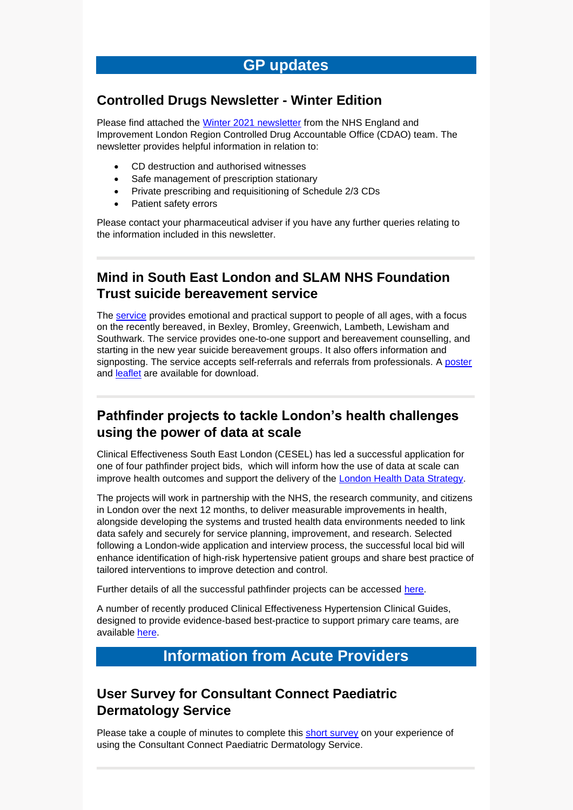## **Controlled Drugs Newsletter - Winter Edition**

Please find attached the [Winter 2021 newsletter](https://selondonccg.nhs.uk/wp-content/uploads/2021/12/20211209-Controlled-Drugs-Newsletter-Winter-Edition.pdf) from the NHS England and Improvement London Region Controlled Drug Accountable Office (CDAO) team. The newsletter provides helpful information in relation to:

- CD destruction and authorised witnesses
- Safe management of prescription stationary
- Private prescribing and requisitioning of Schedule 2/3 CDs
- Patient safety errors

Please contact your pharmaceutical adviser if you have any further queries relating to the information included in this newsletter.

# **Mind in South East London and SLAM NHS Foundation Trust suicide bereavement service**

The [service](https://www.slam.nhs.uk/our-services/suicide-bereavement-service/) provides emotional and practical support to people of all ages, with a focus on the recently bereaved, in Bexley, Bromley, Greenwich, Lambeth, Lewisham and Southwark. The service provides one-to-one support and bereavement counselling, and starting in the new year suicide bereavement groups. It also offers information and signposting. The service accepts self-referrals and referrals from professionals. A [poster](https://selondonccg.nhs.uk/wp-content/uploads/2021/09/SBS-poster-final-Aug-2021.pdf) and [leaflet](https://selondonccg.nhs.uk/wp-content/uploads/2021/09/Suicide-Bereavement-Service-Leaflet-Final.pdf) are available for download.

## **Pathfinder projects to tackle London's health challenges using the power of data at scale**

Clinical Effectiveness South East London (CESEL) has led a successful application for one of four pathfinder project bids, which will inform how the use of data at scale can improve health outcomes and support the delivery of the **London Health Data Strategy**.

The projects will work in partnership with the NHS, the research community, and citizens in London over the next 12 months, to deliver measurable improvements in health, alongside developing the systems and trusted health data environments needed to link data safely and securely for service planning, improvement, and research. Selected following a London-wide application and interview process, the successful local bid will enhance identification of high-risk hypertensive patient groups and share best practice of tailored interventions to improve detection and control.

Further details of all the successful pathfinder projects can be accessed [here.](https://selondonccg.nhs.uk/wp-content/uploads/2021/12/News-release-Pathfinder-projects.pdf)

A number of recently produced Clinical Effectiveness Hypertension Clinical Guides, designed to provide evidence-based best-practice to support primary care teams, are available [here.](https://selondonccg.nhs.uk/covid_19/clinical-effectiveness-sel/)

# **Information from Acute Providers**

## **User Survey for Consultant Connect Paediatric Dermatology Service**

Please take a couple of minutes to complete this [short survey](https://www.surveymonkey.co.uk/r/7667Q66) on your experience of using the Consultant Connect Paediatric Dermatology Service.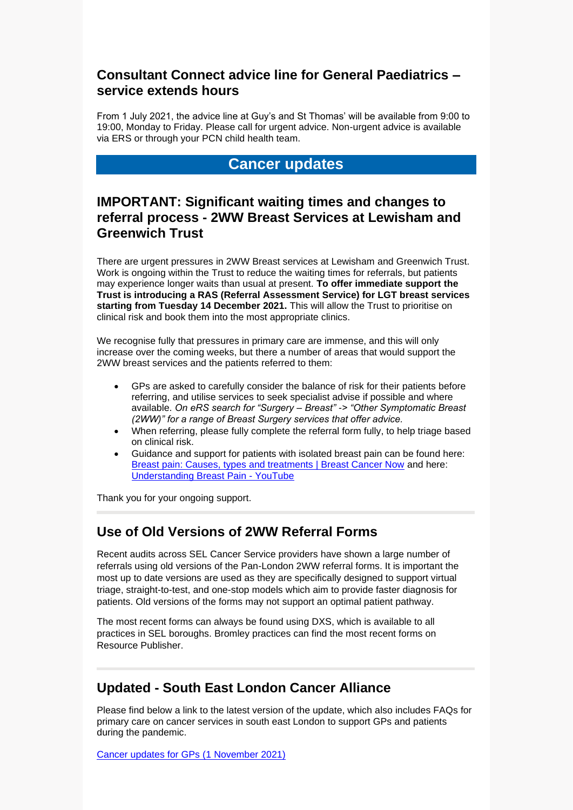### **Consultant Connect advice line for General Paediatrics – service extends hours**

From 1 July 2021, the advice line at Guy's and St Thomas' will be available from 9:00 to 19:00, Monday to Friday. Please call for urgent advice. Non-urgent advice is available via ERS or through your PCN child health team.

# **Cancer updates**

### **IMPORTANT: Significant waiting times and changes to referral process - 2WW Breast Services at Lewisham and Greenwich Trust**

There are urgent pressures in 2WW Breast services at Lewisham and Greenwich Trust. Work is ongoing within the Trust to reduce the waiting times for referrals, but patients may experience longer waits than usual at present. **To offer immediate support the Trust is introducing a RAS (Referral Assessment Service) for LGT breast services starting from Tuesday 14 December 2021.** This will allow the Trust to prioritise on clinical risk and book them into the most appropriate clinics.

We recognise fully that pressures in primary care are immense, and this will only increase over the coming weeks, but there a number of areas that would support the 2WW breast services and the patients referred to them:

- GPs are asked to carefully consider the balance of risk for their patients before referring, and utilise services to seek specialist advise if possible and where available. *On eRS search for "Surgery – Breast" -> "Other Symptomatic Breast (2WW)" for a range of Breast Surgery services that offer advice.*
- When referring, please fully complete the referral form fully, to help triage based on clinical risk.
- Guidance and support for patients with isolated breast pain can be found here: [Breast pain: Causes, types and treatments | Breast Cancer Now](https://breastcancernow.org/information-support/have-i-got-breast-cancer/benign-breast-conditions/breast-pain) and here: [Understanding Breast Pain -](https://www.youtube.com/watch?v=v0FkthTQggc&feature=youtu.be) YouTube

Thank you for your ongoing support.

## **Use of Old Versions of 2WW Referral Forms**

Recent audits across SEL Cancer Service providers have shown a large number of referrals using old versions of the Pan-London 2WW referral forms. It is important the most up to date versions are used as they are specifically designed to support virtual triage, straight-to-test, and one-stop models which aim to provide faster diagnosis for patients. Old versions of the forms may not support an optimal patient pathway.

The most recent forms can always be found using DXS, which is available to all practices in SEL boroughs. Bromley practices can find the most recent forms on Resource Publisher.

## **Updated - South East London Cancer Alliance**

Please find below a link to the latest version of the update, which also includes FAQs for primary care on cancer services in south east London to support GPs and patients during the pandemic.

[Cancer updates for GPs \(1](https://selondonccg.nhs.uk/wp-content/uploads/2021/11/SEL-Cancer-Updates-FAQs-for-Primary-Care-1-Nov-2021.pdf) November 2021)